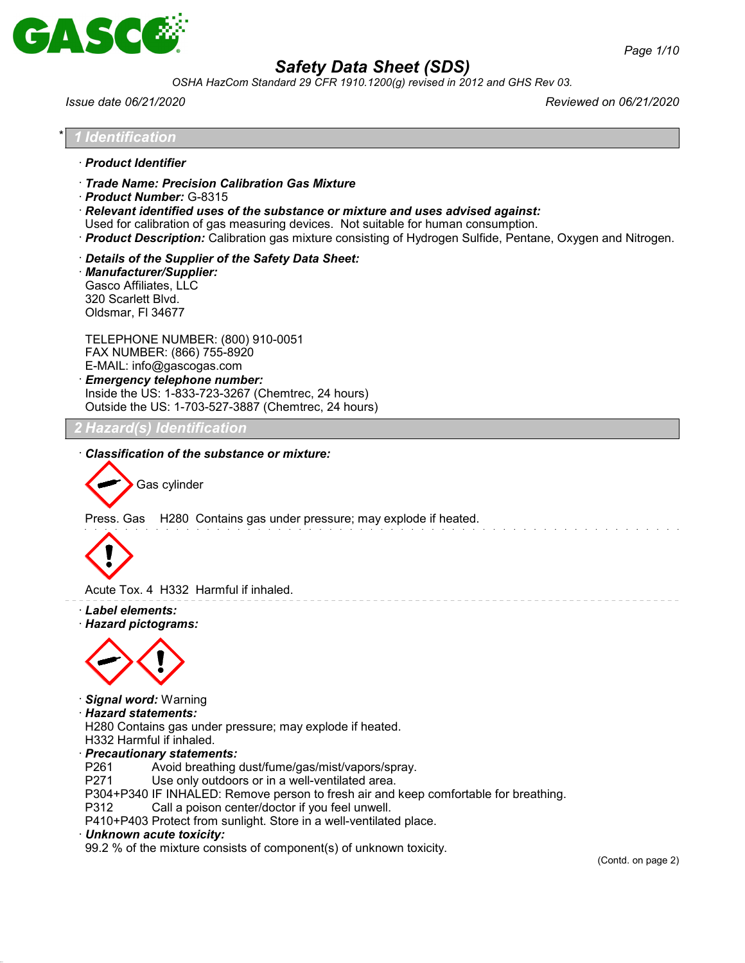

*OSHA HazCom Standard 29 CFR 1910.1200(g) revised in 2012 and GHS Rev 03.*

*Issue date 06/21/2020 Reviewed on 06/21/2020*

## \* *1 Identification*

- · *Product Identifier*
- · *Trade Name: Precision Calibration Gas Mixture*
- · *Product Number:* G-8315

· *Relevant identified uses of the substance or mixture and uses advised against:*

Used for calibration of gas measuring devices. Not suitable for human consumption.

- · *Product Description:* Calibration gas mixture consisting of Hydrogen Sulfide, Pentane, Oxygen and Nitrogen.
- · *Details of the Supplier of the Safety Data Sheet:*

· *Manufacturer/Supplier:* Gasco Affiliates, LLC 320 Scarlett Blvd. Oldsmar, Fl 34677

TELEPHONE NUMBER: (800) 910-0051 FAX NUMBER: (866) 755-8920 E-MAIL: info@gascogas.com · *Emergency telephone number:*

Inside the US: 1-833-723-3267 (Chemtrec, 24 hours) Outside the US: 1-703-527-3887 (Chemtrec, 24 hours)

### *2 Hazard(s) Identification*

· *Classification of the substance or mixture:*



Press. Gas H280 Contains gas under pressure; may explode if heated.



Acute Tox. 4 H332 Harmful if inhaled.

· *Label elements:*

· *Hazard pictograms:*



· *Signal word:* Warning

#### · *Hazard statements:*

H280 Contains gas under pressure; may explode if heated. H332 Harmful if inhaled.

- · *Precautionary statements:*
- P261 Avoid breathing dust/fume/gas/mist/vapors/spray.
- P271 Use only outdoors or in a well-ventilated area.

P304+P340 IF INHALED: Remove person to fresh air and keep comfortable for breathing.

P312 Call a poison center/doctor if you feel unwell.

P410+P403 Protect from sunlight. Store in a well-ventilated place.

· *Unknown acute toxicity:*

99.2 % of the mixture consists of component(s) of unknown toxicity.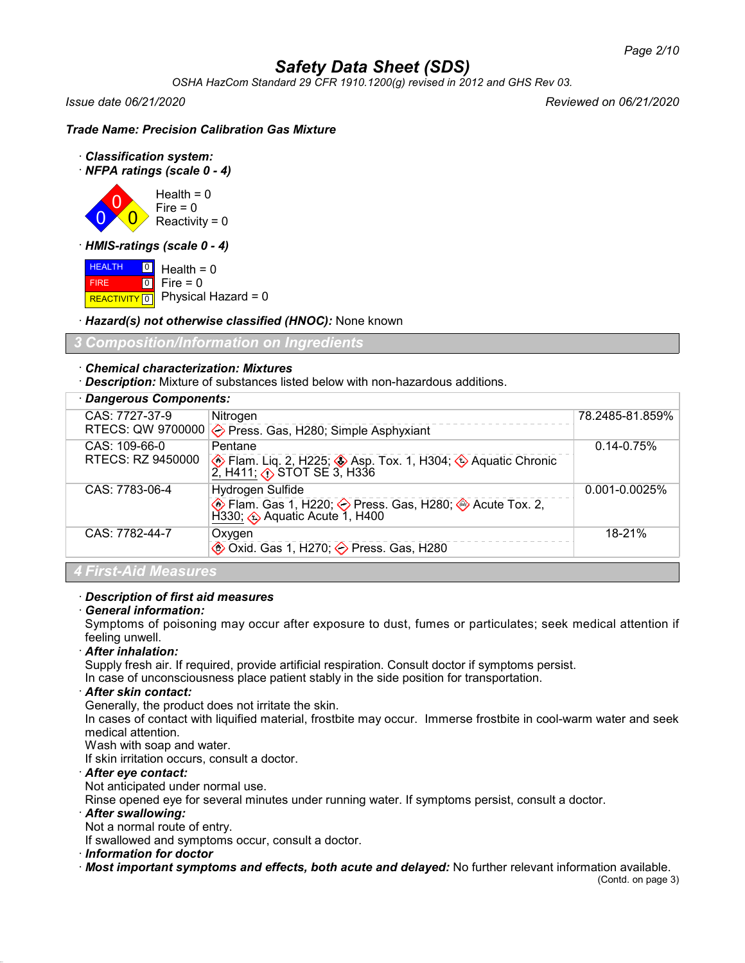*OSHA HazCom Standard 29 CFR 1910.1200(g) revised in 2012 and GHS Rev 03.*

*Issue date 06/21/2020 Reviewed on 06/21/2020*

### *Trade Name: Precision Calibration Gas Mixture*

- · *Classification system:*
- · *NFPA ratings (scale 0 4)*



· *HMIS-ratings (scale 0 - 4)*

**HEALTH**  FIRE REACTIVITY 0 Physical Hazard = 0  $\boxed{0}$  $\boxed{0}$ Health  $= 0$  $Fire = 0$ 

· *Hazard(s) not otherwise classified (HNOC):* None known

## *3 Composition/Information on Ingredients*

## · *Chemical characterization: Mixtures*

· *Description:* Mixture of substances listed below with non-hazardous additions.

| · Dangerous Components: |                                                                                                                         |                    |  |  |
|-------------------------|-------------------------------------------------------------------------------------------------------------------------|--------------------|--|--|
| CAS: 7727-37-9          | Nitrogen                                                                                                                | 78.2485-81.859%    |  |  |
|                         | RTECS: QW 9700000 $\diamondsuit$ Press. Gas, H280; Simple Asphyxiant                                                    |                    |  |  |
| CAS: 109-66-0           | Pentane                                                                                                                 | $0.14 - 0.75%$     |  |  |
| RTECS: RZ 9450000       | <b>A</b> Flam. Liq. 2, H225;<br><b>A</b> Flam. Liq. 2, H225;<br><b>A</b> Aquatic Chronic 2, H316                        |                    |  |  |
| CAS: 7783-06-4          | Hydrogen Sulfide                                                                                                        | $0.001 - 0.0025\%$ |  |  |
|                         | <b>♦ Flam. Gas 1, H220; ◆ Press. Gas, H280; ◆ Acute Tox. 2,</b><br>$\widetilde{H}$ 330; $\hat{O}$ Aquatic Acute 1, H400 |                    |  |  |
| CAS: 7782-44-7          | Oxygen                                                                                                                  | $18 - 21%$         |  |  |
|                         | <b>♦ Oxid. Gas 1, H270; ◆ Press. Gas, H280</b>                                                                          |                    |  |  |

*4 First-Aid Measures*

#### · *Description of first aid measures*

#### · *General information:*

Symptoms of poisoning may occur after exposure to dust, fumes or particulates; seek medical attention if feeling unwell.

#### · *After inhalation:*

Supply fresh air. If required, provide artificial respiration. Consult doctor if symptoms persist.

In case of unconsciousness place patient stably in the side position for transportation.

#### · *After skin contact:*

Generally, the product does not irritate the skin.

In cases of contact with liquified material, frostbite may occur. Immerse frostbite in cool-warm water and seek medical attention.

Wash with soap and water.

If skin irritation occurs, consult a doctor.

## · *After eye contact:*

Not anticipated under normal use.

Rinse opened eye for several minutes under running water. If symptoms persist, consult a doctor.

#### · *After swallowing:*

Not a normal route of entry.

If swallowed and symptoms occur, consult a doctor.

#### · *Information for doctor*

· *Most important symptoms and effects, both acute and delayed:* No further relevant information available.

(Contd. on page 3)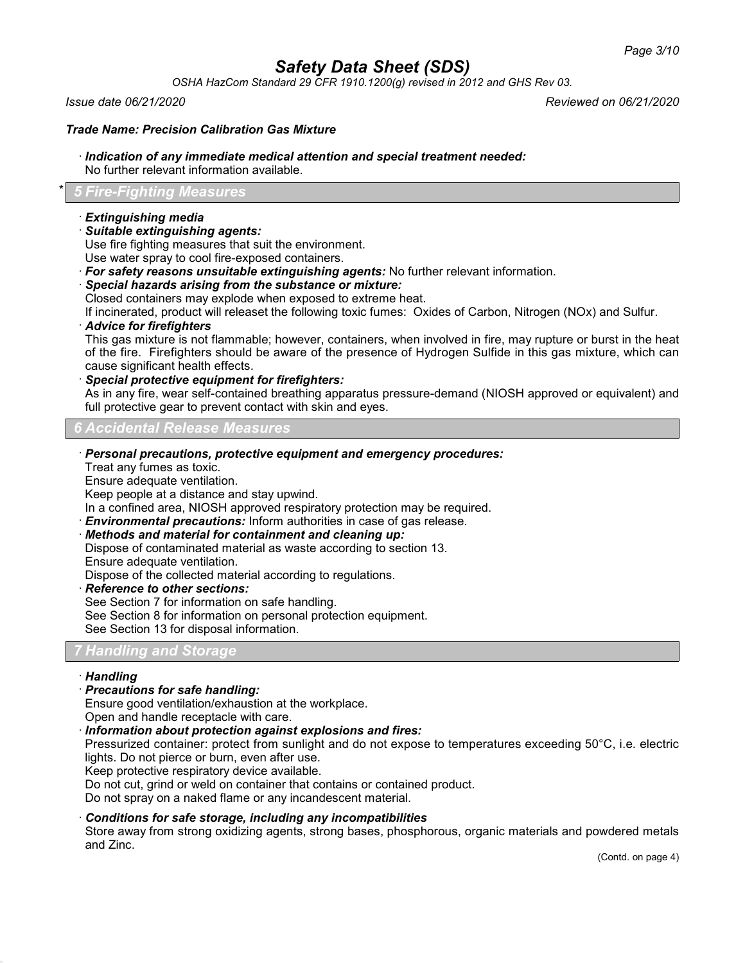*OSHA HazCom Standard 29 CFR 1910.1200(g) revised in 2012 and GHS Rev 03.*

### *Trade Name: Precision Calibration Gas Mixture*

### · *Indication of any immediate medical attention and special treatment needed:*

No further relevant information available.

### \* *5 Fire-Fighting Measures*

#### · *Extinguishing media*

· *Suitable extinguishing agents:*

Use fire fighting measures that suit the environment.

Use water spray to cool fire-exposed containers.

- · *For safety reasons unsuitable extinguishing agents:* No further relevant information.
- · *Special hazards arising from the substance or mixture:*

Closed containers may explode when exposed to extreme heat.

If incinerated, product will releaset the following toxic fumes: Oxides of Carbon, Nitrogen (NOx) and Sulfur.

· *Advice for firefighters*

This gas mixture is not flammable; however, containers, when involved in fire, may rupture or burst in the heat of the fire. Firefighters should be aware of the presence of Hydrogen Sulfide in this gas mixture, which can cause significant health effects.

· *Special protective equipment for firefighters:*

As in any fire, wear self-contained breathing apparatus pressure-demand (NIOSH approved or equivalent) and full protective gear to prevent contact with skin and eyes.

*6 Accidental Release Measures*

· *Personal precautions, protective equipment and emergency procedures:*

Treat any fumes as toxic.

Ensure adequate ventilation.

Keep people at a distance and stay upwind.

In a confined area, NIOSH approved respiratory protection may be required.

· *Environmental precautions:* Inform authorities in case of gas release.

· *Methods and material for containment and cleaning up:*

Dispose of contaminated material as waste according to section 13.

Ensure adequate ventilation.

Dispose of the collected material according to regulations.

· *Reference to other sections:*

See Section 7 for information on safe handling.

See Section 8 for information on personal protection equipment.

See Section 13 for disposal information.

#### *7 Handling and Storage*

#### · *Handling*

· *Precautions for safe handling:*

Ensure good ventilation/exhaustion at the workplace.

Open and handle receptacle with care.

· *Information about protection against explosions and fires:*

Pressurized container: protect from sunlight and do not expose to temperatures exceeding 50°C, i.e. electric lights. Do not pierce or burn, even after use.

Keep protective respiratory device available.

Do not cut, grind or weld on container that contains or contained product.

Do not spray on a naked flame or any incandescent material.

#### · *Conditions for safe storage, including any incompatibilities*

Store away from strong oxidizing agents, strong bases, phosphorous, organic materials and powdered metals and Zinc.

(Contd. on page 4)

*Issue date 06/21/2020 Reviewed on 06/21/2020*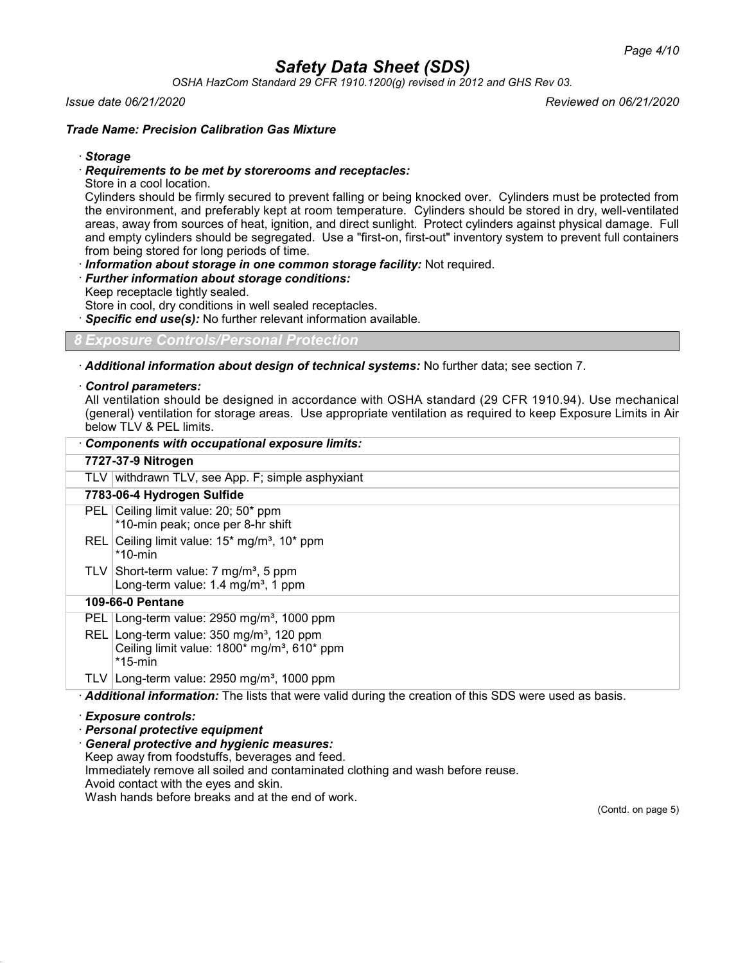*OSHA HazCom Standard 29 CFR 1910.1200(g) revised in 2012 and GHS Rev 03.*

#### *Issue date 06/21/2020 Reviewed on 06/21/2020*

#### *Trade Name: Precision Calibration Gas Mixture*

#### · *Storage*

#### · *Requirements to be met by storerooms and receptacles:*

Store in a cool location.

Cylinders should be firmly secured to prevent falling or being knocked over. Cylinders must be protected from the environment, and preferably kept at room temperature. Cylinders should be stored in dry, well-ventilated areas, away from sources of heat, ignition, and direct sunlight. Protect cylinders against physical damage. Full and empty cylinders should be segregated. Use a "first-on, first-out" inventory system to prevent full containers from being stored for long periods of time.

· *Information about storage in one common storage facility:* Not required.

· *Further information about storage conditions:*

Keep receptacle tightly sealed.

Store in cool, dry conditions in well sealed receptacles.

Specific end use(s): No further relevant information available.

### *8 Exposure Controls/Personal Protection*

· *Additional information about design of technical systems:* No further data; see section 7.

#### · *Control parameters:*

All ventilation should be designed in accordance with OSHA standard (29 CFR 1910.94). Use mechanical (general) ventilation for storage areas. Use appropriate ventilation as required to keep Exposure Limits in Air below TLV & PEL limits.

| Components with occupational exposure limits:                                                                                |  |  |  |  |
|------------------------------------------------------------------------------------------------------------------------------|--|--|--|--|
| 7727-37-9 Nitrogen                                                                                                           |  |  |  |  |
| TLV withdrawn TLV, see App. F; simple asphyxiant                                                                             |  |  |  |  |
| 7783-06-4 Hydrogen Sulfide                                                                                                   |  |  |  |  |
| Ceiling limit value: 20; 50* ppm<br>PEL I<br>*10-min peak; once per 8-hr shift                                               |  |  |  |  |
| REL Ceiling limit value: $15^*$ mg/m <sup>3</sup> , $10^*$ ppm<br>$*$ 10-min                                                 |  |  |  |  |
| TLV Short-term value: 7 mg/m <sup>3</sup> , 5 ppm<br>Long-term value: 1.4 mg/m <sup>3</sup> , 1 ppm                          |  |  |  |  |
| 109-66-0 Pentane                                                                                                             |  |  |  |  |
| PEL Long-term value: $2950$ mg/m <sup>3</sup> , 1000 ppm                                                                     |  |  |  |  |
| REL Long-term value: $350 \text{ mg/m}^3$ , 120 ppm<br>Ceiling limit value: 1800* mg/m <sup>3</sup> , 610* ppm<br>$*$ 15-min |  |  |  |  |
| TLV Long-term value: $2950$ mg/m <sup>3</sup> , 1000 ppm                                                                     |  |  |  |  |
| Additional information: The lists that were valid during the creation of this SDS were used as basis.                        |  |  |  |  |

#### · *Exposure controls:*

· *Personal protective equipment*

· *General protective and hygienic measures:* Keep away from foodstuffs, beverages and feed. Immediately remove all soiled and contaminated clothing and wash before reuse. Avoid contact with the eyes and skin. Wash hands before breaks and at the end of work.

(Contd. on page 5)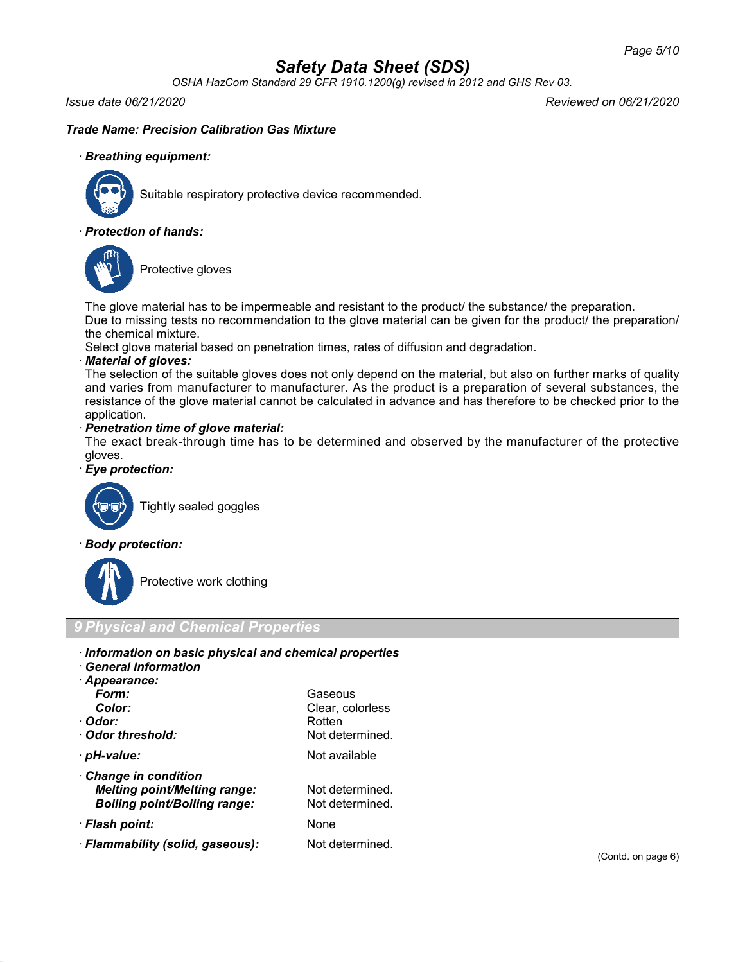*OSHA HazCom Standard 29 CFR 1910.1200(g) revised in 2012 and GHS Rev 03.*

*Issue date 06/21/2020 Reviewed on 06/21/2020*

## *Trade Name: Precision Calibration Gas Mixture*

### · *Breathing equipment:*



Suitable respiratory protective device recommended.

### · *Protection of hands:*



Protective gloves

The glove material has to be impermeable and resistant to the product/ the substance/ the preparation.

Due to missing tests no recommendation to the glove material can be given for the product/ the preparation/ the chemical mixture.

Select glove material based on penetration times, rates of diffusion and degradation.

#### · *Material of gloves:*

The selection of the suitable gloves does not only depend on the material, but also on further marks of quality and varies from manufacturer to manufacturer. As the product is a preparation of several substances, the resistance of the glove material cannot be calculated in advance and has therefore to be checked prior to the application.

### · *Penetration time of glove material:*

The exact break-through time has to be determined and observed by the manufacturer of the protective gloves.

### · *Eye protection:*



Tightly sealed goggles

#### · *Body protection:*



Protective work clothing

## *9 Physical and Chemical Properties*

|  |  |  |  |  | · Information on basic physical and chemical properties |  |
|--|--|--|--|--|---------------------------------------------------------|--|
|  |  |  |  |  |                                                         |  |

· *General Information*

| · Appearance:   |                  |
|-----------------|------------------|
| Form:           | Gaseous          |
| Color:          | Clear, colorless |
| · Odor:         | Rotten           |
| Odor threshold: | Not determined.  |
| · pH-value:     | Not available    |

| Form:<br>Color:<br>· Odor:<br>Odor threshold:                                                     | Gaseous<br>Clear, colorless<br>Rotten<br>Not determined. |
|---------------------------------------------------------------------------------------------------|----------------------------------------------------------|
| · pH-value:                                                                                       | Not available                                            |
| Change in condition<br><b>Melting point/Melting range:</b><br><b>Boiling point/Boiling range:</b> | Not determined.<br>Not determined.                       |
| · Flash point:                                                                                    | None                                                     |
| · Flammability (solid, gaseous):                                                                  | Not determined.                                          |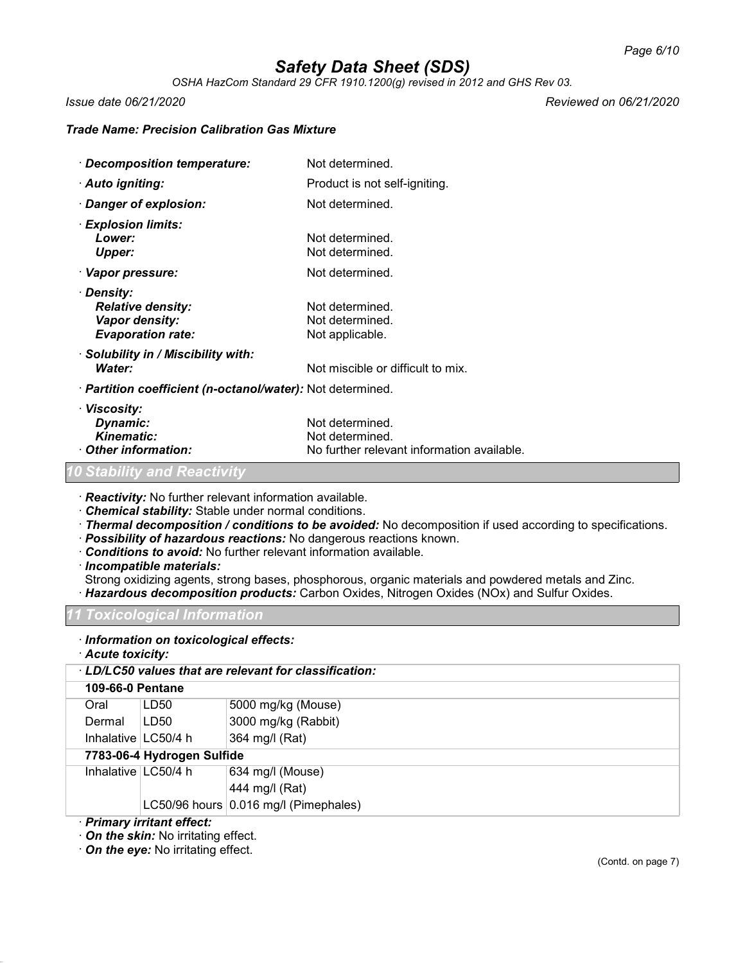*OSHA HazCom Standard 29 CFR 1910.1200(g) revised in 2012 and GHS Rev 03.*

*Issue date 06/21/2020 Reviewed on 06/21/2020*

### *Trade Name: Precision Calibration Gas Mixture*

| · Decomposition temperature:                                                         | Not determined.                                                                  |  |  |  |  |
|--------------------------------------------------------------------------------------|----------------------------------------------------------------------------------|--|--|--|--|
| · Auto igniting:                                                                     | Product is not self-igniting.                                                    |  |  |  |  |
| $\cdot$ Danger of explosion:                                                         | Not determined.                                                                  |  |  |  |  |
| · Explosion limits:<br>Lower:<br><b>Upper:</b>                                       | Not determined.<br>Not determined.                                               |  |  |  |  |
| · Vapor pressure:                                                                    | Not determined.                                                                  |  |  |  |  |
| · Density:<br><b>Relative density:</b><br>Vapor density:<br><b>Evaporation rate:</b> | Not determined.<br>Not determined.<br>Not applicable.                            |  |  |  |  |
| · Solubility in / Miscibility with:<br>Water:                                        | Not miscible or difficult to mix.                                                |  |  |  |  |
| · <b>Partition coefficient (n-octanol/water):</b> Not determined.                    |                                                                                  |  |  |  |  |
| · Viscosity:<br>Dynamic:<br><b>Kinematic:</b><br>Other information:                  | Not determined.<br>Not determined.<br>No further relevant information available. |  |  |  |  |
| 10 Stability and Reactivity                                                          |                                                                                  |  |  |  |  |

· *Reactivity:* No further relevant information available.

- · *Chemical stability:* Stable under normal conditions.
- · *Thermal decomposition / conditions to be avoided:* No decomposition if used according to specifications.
- · *Possibility of hazardous reactions:* No dangerous reactions known.
- · *Conditions to avoid:* No further relevant information available.

· *Incompatible materials:*

- Strong oxidizing agents, strong bases, phosphorous, organic materials and powdered metals and Zinc.
- · *Hazardous decomposition products:* Carbon Oxides, Nitrogen Oxides (NOx) and Sulfur Oxides.

*11 Toxicological Information*

## · *Information on toxicological effects:*

· *Acute toxicity:*

| · LD/LC50 values that are relevant for classification: |                            |                                       |  |  |  |  |  |
|--------------------------------------------------------|----------------------------|---------------------------------------|--|--|--|--|--|
|                                                        | <b>109-66-0 Pentane</b>    |                                       |  |  |  |  |  |
| Oral                                                   | LD <sub>50</sub>           | 5000 mg/kg (Mouse)                    |  |  |  |  |  |
| Dermal                                                 | LD50                       | 3000 mg/kg (Rabbit)                   |  |  |  |  |  |
| Inhalative $\lfloor$ LC50/4 h                          |                            | 364 mg/l (Rat)                        |  |  |  |  |  |
|                                                        | 7783-06-4 Hydrogen Sulfide |                                       |  |  |  |  |  |
|                                                        | Inhalative   LC50/4 h      | 634 mg/l (Mouse)                      |  |  |  |  |  |
|                                                        |                            | 444 mg/l (Rat)                        |  |  |  |  |  |
|                                                        |                            | LC50/96 hours 0.016 mg/l (Pimephales) |  |  |  |  |  |
| · Primary irritant effect:                             |                            |                                       |  |  |  |  |  |

· *On the skin:* No irritating effect.

· *On the eye:* No irritating effect.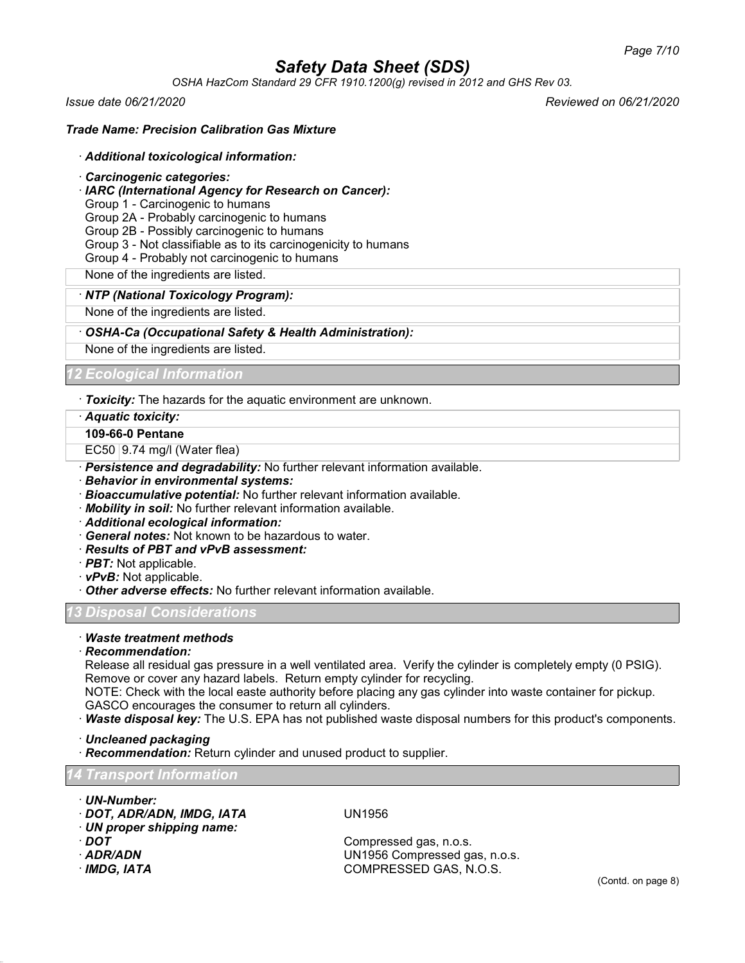*OSHA HazCom Standard 29 CFR 1910.1200(g) revised in 2012 and GHS Rev 03.*

*Issue date 06/21/2020 Reviewed on 06/21/2020*

### *Trade Name: Precision Calibration Gas Mixture*

#### · *Additional toxicological information:*

- · *Carcinogenic categories:*
- · *IARC (International Agency for Research on Cancer):*
- Group 1 Carcinogenic to humans

Group 2A - Probably carcinogenic to humans

Group 2B - Possibly carcinogenic to humans

- Group 3 Not classifiable as to its carcinogenicity to humans
- Group 4 Probably not carcinogenic to humans

None of the ingredients are listed.

#### · *NTP (National Toxicology Program):*

None of the ingredients are listed.

#### · *OSHA-Ca (Occupational Safety & Health Administration):*

None of the ingredients are listed.

*12 Ecological Information*

· *Toxicity:* The hazards for the aquatic environment are unknown.

· *Aquatic toxicity:*

**109-66-0 Pentane**

EC50 9.74 mg/l (Water flea)

- · *Persistence and degradability:* No further relevant information available.
- · *Behavior in environmental systems:*
- · *Bioaccumulative potential:* No further relevant information available.
- · *Mobility in soil:* No further relevant information available.
- · *Additional ecological information:*
- · *General notes:* Not known to be hazardous to water.
- · *Results of PBT and vPvB assessment:*
- · *PBT:* Not applicable.
- · *vPvB:* Not applicable.
- · *Other adverse effects:* No further relevant information available.

*13 Disposal Considerations*

## · *Waste treatment methods*

#### · *Recommendation:*

Release all residual gas pressure in a well ventilated area. Verify the cylinder is completely empty (0 PSIG). Remove or cover any hazard labels. Return empty cylinder for recycling.

NOTE: Check with the local easte authority before placing any gas cylinder into waste container for pickup. GASCO encourages the consumer to return all cylinders.

· *Waste disposal key:* The U.S. EPA has not published waste disposal numbers for this product's components.

· *Uncleaned packaging*

· *Recommendation:* Return cylinder and unused product to supplier.

#### *14 Transport Information*

- · *UN-Number:* · *DOT, ADR/ADN, IMDG, IATA* UN1956
- · *UN proper shipping name:*
- 
- 
- 

**DOT** Compressed gas, n.o.s.<br>**ADR/ADN** COMPRESSED COMPRESSED OF SADR/ADN · *ADR/ADN* UN1956 Compressed gas, n.o.s. · *IMDG, IATA* COMPRESSED GAS, N.O.S.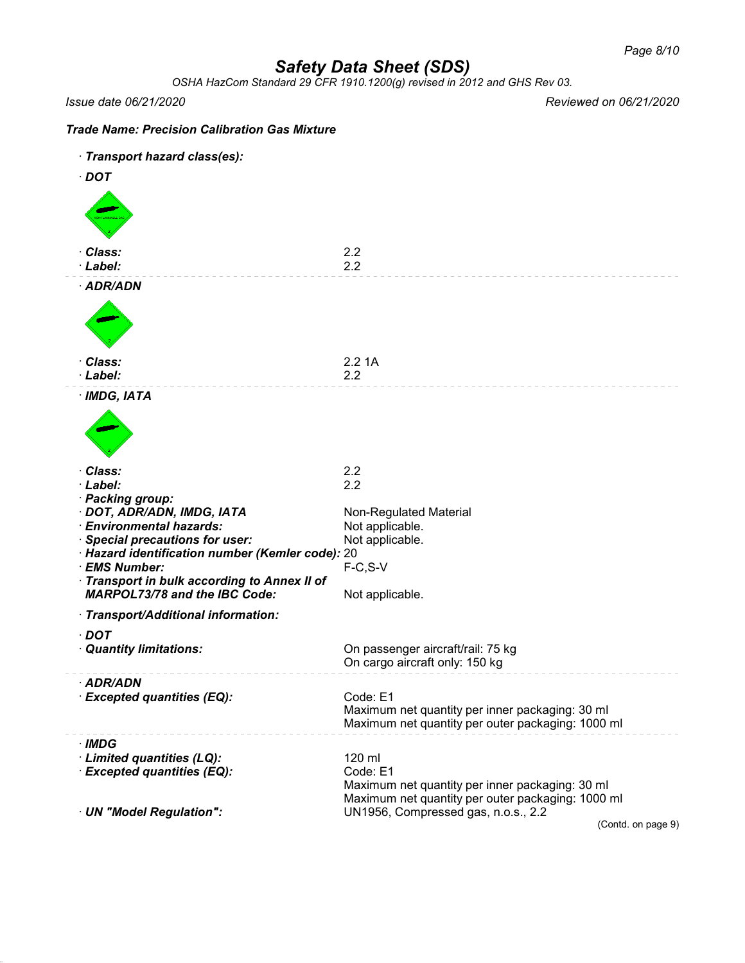*OSHA HazCom Standard 29 CFR 1910.1200(g) revised in 2012 and GHS Rev 03.*

*Issue date 06/21/2020 Reviewed on 06/21/2020*

| <b>Trade Name: Precision Calibration Gas Mixture</b>                                                                                                                                                                                                                                 |                                                                                                                            |                    |
|--------------------------------------------------------------------------------------------------------------------------------------------------------------------------------------------------------------------------------------------------------------------------------------|----------------------------------------------------------------------------------------------------------------------------|--------------------|
| · Transport hazard class(es):                                                                                                                                                                                                                                                        |                                                                                                                            |                    |
| $\cdot$ DOT                                                                                                                                                                                                                                                                          |                                                                                                                            |                    |
|                                                                                                                                                                                                                                                                                      |                                                                                                                            |                    |
| · Class:<br>· Label:                                                                                                                                                                                                                                                                 | 2.2<br>2.2                                                                                                                 |                    |
| · ADR/ADN                                                                                                                                                                                                                                                                            |                                                                                                                            |                    |
| · Class:<br>· Label:                                                                                                                                                                                                                                                                 | 2.21A<br>2.2                                                                                                               |                    |
| · IMDG, IATA                                                                                                                                                                                                                                                                         |                                                                                                                            |                    |
| · Class:                                                                                                                                                                                                                                                                             | 2.2                                                                                                                        |                    |
| · Label:<br>· Packing group:<br>· DOT, ADR/ADN, IMDG, IATA<br>· Environmental hazards:<br>· Special precautions for user:<br>· Hazard identification number (Kemler code): 20<br>· EMS Number:<br>Transport in bulk according to Annex II of<br><b>MARPOL73/78 and the IBC Code:</b> | 2.2<br>Non-Regulated Material<br>Not applicable.<br>Not applicable.<br>$F-C, S-V$<br>Not applicable.                       |                    |
| · Transport/Additional information:                                                                                                                                                                                                                                                  |                                                                                                                            |                    |
| $\cdot$ DOT<br>· Quantity limitations:                                                                                                                                                                                                                                               | On passenger aircraft/rail: 75 kg<br>On cargo aircraft only: 150 kg                                                        |                    |
| · ADR/ADN<br>· Excepted quantities (EQ):                                                                                                                                                                                                                                             | Code: E1<br>Maximum net quantity per inner packaging: 30 ml<br>Maximum net quantity per outer packaging: 1000 ml           |                    |
| $\cdot$ IMDG<br>· Limited quantities (LQ):<br>· Excepted quantities (EQ):                                                                                                                                                                                                            | 120 ml<br>Code: E1<br>Maximum net quantity per inner packaging: 30 ml<br>Maximum net quantity per outer packaging: 1000 ml |                    |
| · UN "Model Regulation":                                                                                                                                                                                                                                                             | UN1956, Compressed gas, n.o.s., 2.2                                                                                        | (Contd. on page 9) |
|                                                                                                                                                                                                                                                                                      |                                                                                                                            |                    |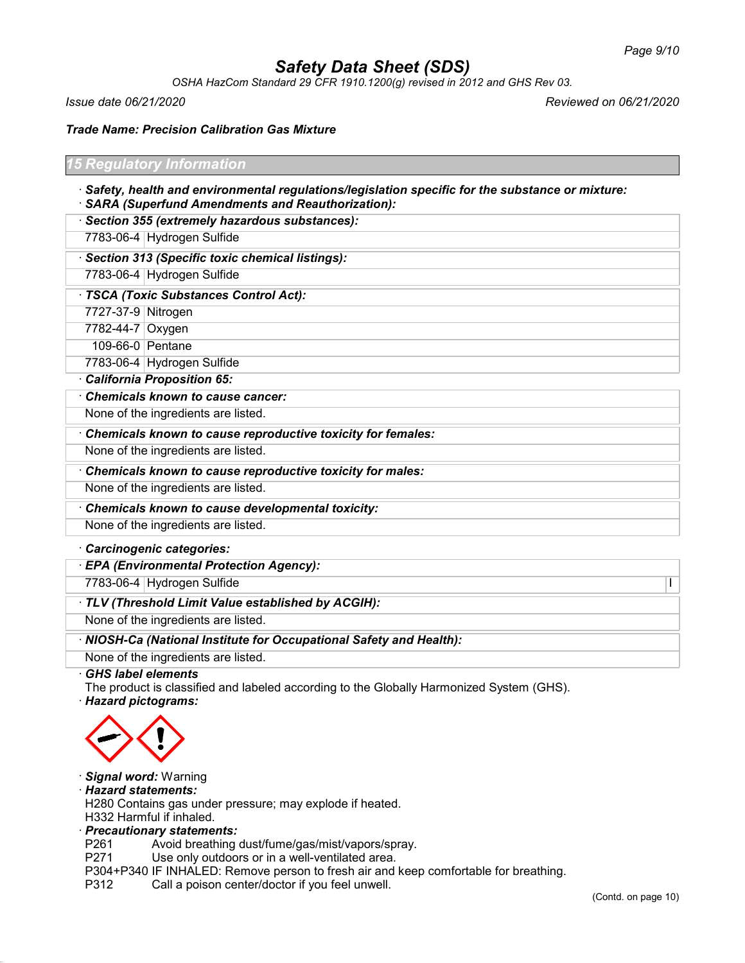*OSHA HazCom Standard 29 CFR 1910.1200(g) revised in 2012 and GHS Rev 03.*

*Issue date 06/21/2020 Reviewed on 06/21/2020*

*Trade Name: Precision Calibration Gas Mixture*

| <b>15 Regulatory Information</b> |  |  |
|----------------------------------|--|--|
|                                  |  |  |
|                                  |  |  |
|                                  |  |  |

- · *Safety, health and environmental regulations/legislation specific for the substance or mixture:* · *SARA (Superfund Amendments and Reauthorization):*
- · *Section 355 (extremely hazardous substances):*

7783-06-4 Hydrogen Sulfide

· *Section 313 (Specific toxic chemical listings):*

7783-06-4 Hydrogen Sulfide

· *TSCA (Toxic Substances Control Act):*

7727-37-9 Nitrogen

7782-44-7 Oxygen

109-66-0 Pentane

7783-06-4 Hydrogen Sulfide

· *California Proposition 65:*

· *Chemicals known to cause cancer:*

None of the ingredients are listed.

· *Chemicals known to cause reproductive toxicity for females:*

None of the ingredients are listed.

· *Chemicals known to cause reproductive toxicity for males:*

None of the ingredients are listed.

· *Chemicals known to cause developmental toxicity:*

None of the ingredients are listed.

#### · *Carcinogenic categories:*

· *EPA (Environmental Protection Agency):*

7783-06-4 Hydrogen Sulfide I

### · *TLV (Threshold Limit Value established by ACGIH):*

None of the ingredients are listed.

· *NIOSH-Ca (National Institute for Occupational Safety and Health):*

None of the ingredients are listed.

· *GHS label elements*

The product is classified and labeled according to the Globally Harmonized System (GHS). · *Hazard pictograms:*



#### · *Signal word:* Warning

#### · *Hazard statements:*

H280 Contains gas under pressure; may explode if heated.

H332 Harmful if inhaled.

· *Precautionary statements:*

P261 Avoid breathing dust/fume/gas/mist/vapors/spray.<br>P271 Use only outdoors or in a well-ventilated area.

Use only outdoors or in a well-ventilated area.

P304+P340 IF INHALED: Remove person to fresh air and keep comfortable for breathing.

P312 Call a poison center/doctor if you feel unwell.